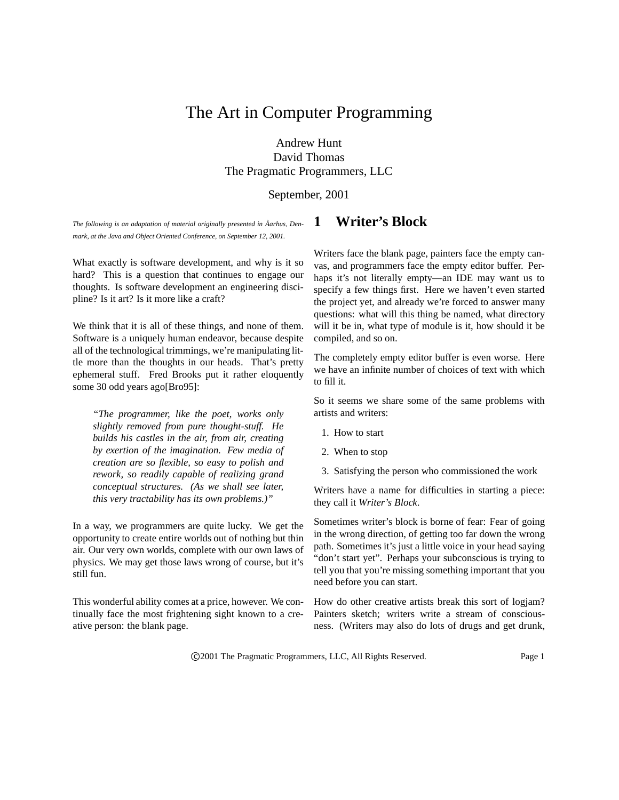# The Art in Computer Programming

# Andrew Hunt David Thomas The Pragmatic Programmers, LLC

September, 2001

*The following is an adaptation of material originally presented in Aarhus, ˚ Denmark, at the Java and Object Oriented Conference, on September 12, 2001.*

What exactly is software development, and why is it so hard? This is a question that continues to engage our thoughts. Is software development an engineering discipline? Is it art? Is it more like a craft?

We think that it is all of these things, and none of them. Software is a uniquely human endeavor, because despite all of the technological trimmings, we're manipulating little more than the thoughts in our heads. That's pretty ephemeral stuff. Fred Brooks put it rather eloquently some 30 odd years ago[Bro95]:

*"The programmer, like the poet, works only slightly removed from pure thought-stuff. He builds his castles in the air, from air, creating by exertion of the imagination. Few media of creation are so flexible, so easy to polish and rework, so readily capable of realizing grand conceptual structures. (As we shall see later, this very tractability has its own problems.)"*

In a way, we programmers are quite lucky. We get the opportunity to create entire worlds out of nothing but thin air. Our very own worlds, complete with our own laws of physics. We may get those laws wrong of course, but it's still fun.

This wonderful ability comes at a price, however. We continually face the most frightening sight known to a creative person: the blank page.

# **1 Writer's Block**

Writers face the blank page, painters face the empty canvas, and programmers face the empty editor buffer. Perhaps it's not literally empty—an IDE may want us to specify a few things first. Here we haven't even started the project yet, and already we're forced to answer many questions: what will this thing be named, what directory will it be in, what type of module is it, how should it be compiled, and so on.

The completely empty editor buffer is even worse. Here we have an infinite number of choices of text with which to fill it.

So it seems we share some of the same problems with artists and writers:

- 1. How to start
- 2. When to stop
- 3. Satisfying the person who commissioned the work

Writers have a name for difficulties in starting a piece: they call it *Writer's Block*.

Sometimes writer's block is borne of fear: Fear of going in the wrong direction, of getting too far down the wrong path. Sometimes it's just a little voice in your head saying "don't start yet". Perhaps your subconscious is trying to tell you that you're missing something important that you need before you can start.

How do other creative artists break this sort of logjam? Painters sketch; writers write a stream of consciousness. (Writers may also do lots of drugs and get drunk,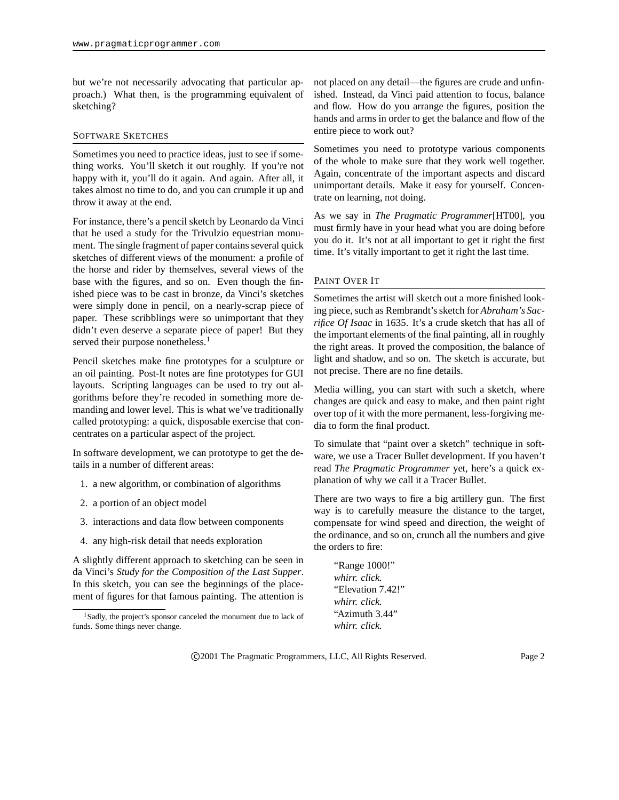but we're not necessarily advocating that particular approach.) What then, is the programming equivalent of sketching?

#### SOFTWARE SKETCHES

Sometimes you need to practice ideas, just to see if something works. You'll sketch it out roughly. If you're not happy with it, you'll do it again. And again. After all, it takes almost no time to do, and you can crumple it up and throw it away at the end.

For instance, there's a pencil sketch by Leonardo da Vinci that he used a study for the Trivulzio equestrian monument. The single fragment of paper contains several quick sketches of different views of the monument: a profile of the horse and rider by themselves, several views of the base with the figures, and so on. Even though the finished piece was to be cast in bronze, da Vinci's sketches were simply done in pencil, on a nearly-scrap piece of paper. These scribblings were so unimportant that they didn't even deserve a separate piece of paper! But they served their purpose nonetheless.<sup>1</sup>

Pencil sketches make fine prototypes for a sculpture or an oil painting. Post-It notes are fine prototypes for GUI layouts. Scripting languages can be used to try out algorithms before they're recoded in something more demanding and lower level. This is what we've traditionally called prototyping: a quick, disposable exercise that concentrates on a particular aspect of the project.

In software development, we can prototype to get the details in a number of different areas:

- 1. a new algorithm, or combination of algorithms
- 2. a portion of an object model
- 3. interactions and data flow between components
- 4. any high-risk detail that needs exploration

A slightly different approach to sketching can be seen in da Vinci's *Study for the Composition of the Last Supper*. In this sketch, you can see the beginnings of the placement of figures for that famous painting. The attention is not placed on any detail—the figures are crude and unfinished. Instead, da Vinci paid attention to focus, balance and flow. How do you arrange the figures, position the hands and arms in order to get the balance and flow of the entire piece to work out?

Sometimes you need to prototype various components of the whole to make sure that they work well together. Again, concentrate of the important aspects and discard unimportant details. Make it easy for yourself. Concentrate on learning, not doing.

As we say in *The Pragmatic Programmer*[HT00], you must firmly have in your head what you are doing before you do it. It's not at all important to get it right the first time. It's vitally important to get it right the last time.

#### PAINT OVER IT

Sometimes the artist will sketch out a more finished looking piece, such as Rembrandt's sketch for *Abraham's Sacrifice Of Isaac* in 1635. It's a crude sketch that has all of the important elements of the final painting, all in roughly the right areas. It proved the composition, the balance of light and shadow, and so on. The sketch is accurate, but not precise. There are no fine details.

Media willing, you can start with such a sketch, where changes are quick and easy to make, and then paint right over top of it with the more permanent, less-forgiving media to form the final product.

To simulate that "paint over a sketch" technique in software, we use a Tracer Bullet development. If you haven't read *The Pragmatic Programmer* yet, here's a quick explanation of why we call it a Tracer Bullet.

There are two ways to fire a big artillery gun. The first way is to carefully measure the distance to the target, compensate for wind speed and direction, the weight of the ordinance, and so on, crunch all the numbers and give the orders to fire:

"Range 1000!" *whirr. click.* "Elevation 7.42!" *whirr. click.* "Azimuth 3.44" *whirr. click.*

<sup>&</sup>lt;sup>1</sup>Sadly, the project's sponsor canceled the monument due to lack of funds. Some things never change.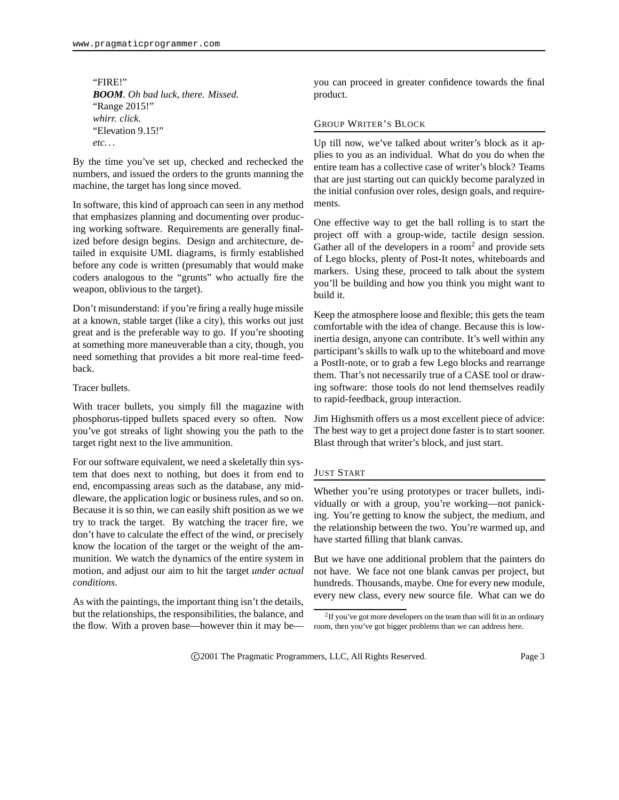"FIRE!" *BOOM. Oh bad luck, there. Missed.* "Range 2015!" *whirr. click.* "Elevation 9.15!" *etc. . .*

By the time you've set up, checked and rechecked the numbers, and issued the orders to the grunts manning the machine, the target has long since moved.

In software, this kind of approach can seen in any method that emphasizes planning and documenting over producing working software. Requirements are generally finalized before design begins. Design and architecture, detailed in exquisite UML diagrams, is firmly established before any code is written (presumably that would make coders analogous to the "grunts" who actually fire the weapon, oblivious to the target).

Don't misunderstand: if you're firing a really huge missile at a known, stable target (like a city), this works out just great and is the preferable way to go. If you're shooting at something more maneuverable than a city, though, you need something that provides a bit more real-time feedback.

Tracer bullets.

With tracer bullets, you simply fill the magazine with phosphorus-tipped bullets spaced every so often. Now you've got streaks of light showing you the path to the target right next to the live ammunition.

For our software equivalent, we need a skeletally thin system that does next to nothing, but does it from end to end, encompassing areas such as the database, any middleware, the application logic or business rules, and so on. Because it is so thin, we can easily shift position as we we try to track the target. By watching the tracer fire, we don't have to calculate the effect of the wind, or precisely know the location of the target or the weight of the ammunition. We watch the dynamics of the entire system in motion, and adjust our aim to hit the target *under actual conditions*.

As with the paintings, the important thing isn't the details, but the relationships, the responsibilities, the balance, and the flow. With a proven base—however thin it may beyou can proceed in greater confidence towards the final product.

# GROUP WRITER'S BLOCK

Up till now, we've talked about writer's block as it applies to you as an individual. What do you do when the entire team has a collective case of writer's block? Teams that are just starting out can quickly become paralyzed in the initial confusion over roles, design goals, and requirements.

One effective way to get the ball rolling is to start the project off with a group-wide, tactile design session. Gather all of the developers in a room<sup>2</sup> and provide sets of Lego blocks, plenty of Post-It notes, whiteboards and markers. Using these, proceed to talk about the system you'll be building and how you think you might want to build it.

Keep the atmosphere loose and flexible; this gets the team comfortable with the idea of change. Because this is lowinertia design, anyone can contribute. It's well within any participant's skills to walk up to the whiteboard and move a PostIt-note, or to grab a few Lego blocks and rearrange them. That's not necessarily true of a CASE tool or drawing software: those tools do not lend themselves readily to rapid-feedback, group interaction.

Jim Highsmith offers us a most excellent piece of advice: The best way to get a project done faster is to start sooner. Blast through that writer's block, and just start.

### JUST START

Whether you're using prototypes or tracer bullets, individually or with a group, you're working—not panicking. You're getting to know the subject, the medium, and the relationship between the two. You're warmed up, and have started filling that blank canvas.

But we have one additional problem that the painters do not have. We face not one blank canvas per project, but hundreds. Thousands, maybe. One for every new module, every new class, every new source file. What can we do

 $2$ If you've got more developers on the team than will fit in an ordinary room, then you've got bigger problems than we can address here.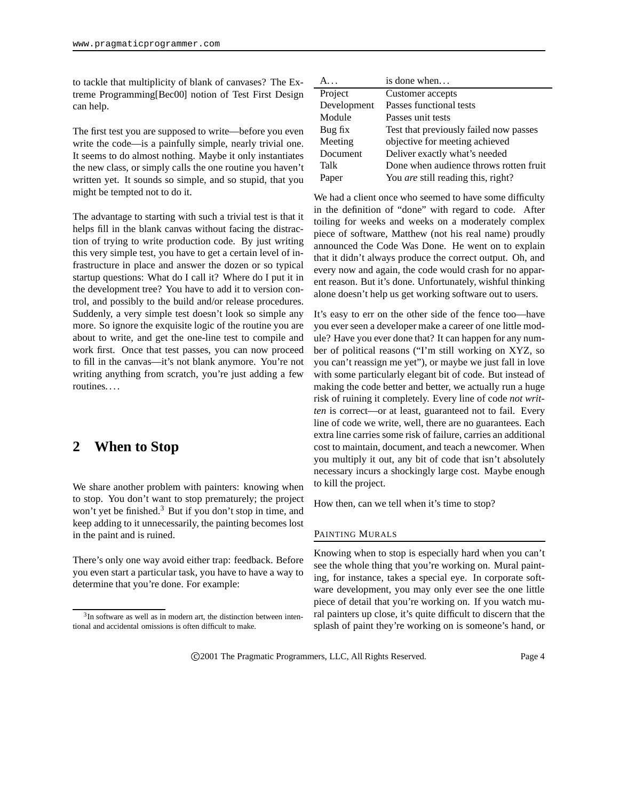to tackle that multiplicity of blank of canvases? The Extreme Programming[Bec00] notion of Test First Design can help.

The first test you are supposed to write—before you even write the code—is a painfully simple, nearly trivial one. It seems to do almost nothing. Maybe it only instantiates the new class, or simply calls the one routine you haven't written yet. It sounds so simple, and so stupid, that you might be tempted not to do it.

The advantage to starting with such a trivial test is that it helps fill in the blank canvas without facing the distraction of trying to write production code. By just writing this very simple test, you have to get a certain level of infrastructure in place and answer the dozen or so typical startup questions: What do I call it? Where do I put it in the development tree? You have to add it to version control, and possibly to the build and/or release procedures. Suddenly, a very simple test doesn't look so simple any more. So ignore the exquisite logic of the routine you are about to write, and get the one-line test to compile and work first. Once that test passes, you can now proceed to fill in the canvas—it's not blank anymore. You're not writing anything from scratch, you're just adding a few routines. . . .

# **2 When to Stop**

We share another problem with painters: knowing when to stop. You don't want to stop prematurely; the project won't yet be finished.<sup>3</sup> But if you don't stop in time, and keep adding to it unnecessarily, the painting becomes lost in the paint and is ruined.

There's only one way avoid either trap: feedback. Before you even start a particular task, you have to have a way to determine that you're done. For example:

| $A_{\cdots}$ | is done when                              |
|--------------|-------------------------------------------|
| Project      | Customer accepts                          |
| Development  | Passes functional tests                   |
| Module       | Passes unit tests                         |
| Bug fix      | Test that previously failed now passes    |
| Meeting      | objective for meeting achieved            |
| Document     | Deliver exactly what's needed             |
| Talk         | Done when audience throws rotten fruit    |
| Paper        | You <i>are</i> still reading this, right? |

We had a client once who seemed to have some difficulty in the definition of "done" with regard to code. After toiling for weeks and weeks on a moderately complex piece of software, Matthew (not his real name) proudly announced the Code Was Done. He went on to explain that it didn't always produce the correct output. Oh, and every now and again, the code would crash for no apparent reason. But it's done. Unfortunately, wishful thinking alone doesn't help us get working software out to users.

It's easy to err on the other side of the fence too—have you ever seen a developer make a career of one little module? Have you ever done that? It can happen for any number of political reasons ("I'm still working on XYZ, so you can't reassign me yet"), or maybe we just fall in love with some particularly elegant bit of code. But instead of making the code better and better, we actually run a huge risk of ruining it completely. Every line of code *not written* is correct—or at least, guaranteed not to fail. Every line of code we write, well, there are no guarantees. Each extra line carries some risk of failure, carries an additional cost to maintain, document, and teach a newcomer. When you multiply it out, any bit of code that isn't absolutely necessary incurs a shockingly large cost. Maybe enough to kill the project.

How then, can we tell when it's time to stop?

### PAINTING MURALS

Knowing when to stop is especially hard when you can't see the whole thing that you're working on. Mural painting, for instance, takes a special eye. In corporate software development, you may only ever see the one little piece of detail that you're working on. If you watch mural painters up close, it's quite difficult to discern that the splash of paint they're working on is someone's hand, or

<sup>&</sup>lt;sup>3</sup>In software as well as in modern art, the distinction between intentional and accidental omissions is often difficult to make.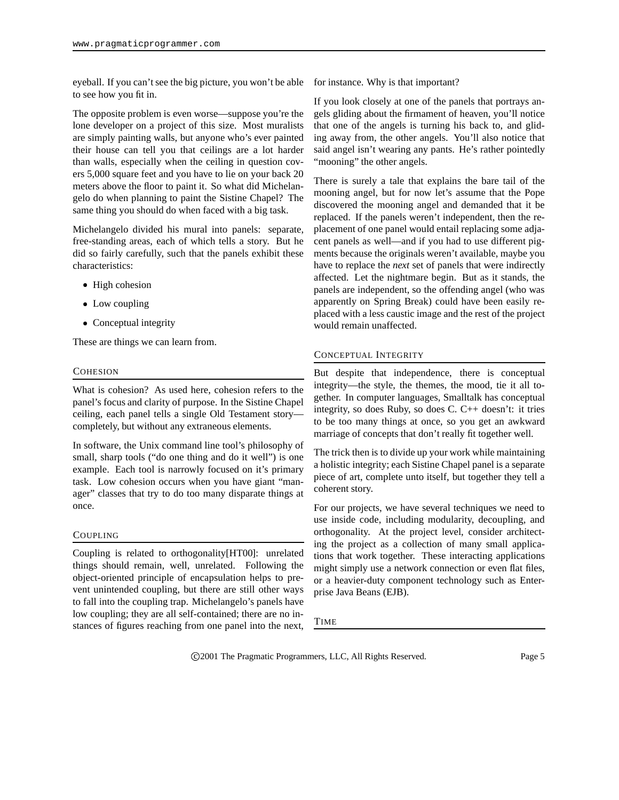eyeball. If you can't see the big picture, you won't be able to see how you fit in.

The opposite problem is even worse—suppose you're the lone developer on a project of this size. Most muralists are simply painting walls, but anyone who's ever painted their house can tell you that ceilings are a lot harder than walls, especially when the ceiling in question covers 5,000 square feet and you have to lie on your back 20 meters above the floor to paint it. So what did Michelangelo do when planning to paint the Sistine Chapel? The same thing you should do when faced with a big task.

Michelangelo divided his mural into panels: separate, free-standing areas, each of which tells a story. But he did so fairly carefully, such that the panels exhibit these characteristics:

- High cohesion
- Low coupling
- Conceptual integrity

These are things we can learn from.

#### **COHESION**

What is cohesion? As used here, cohesion refers to the panel's focus and clarity of purpose. In the Sistine Chapel ceiling, each panel tells a single Old Testament story completely, but without any extraneous elements.

In software, the Unix command line tool's philosophy of small, sharp tools ("do one thing and do it well") is one example. Each tool is narrowly focused on it's primary task. Low cohesion occurs when you have giant "manager" classes that try to do too many disparate things at once.

### COUPLING

Coupling is related to orthogonality[HT00]: unrelated things should remain, well, unrelated. Following the object-oriented principle of encapsulation helps to prevent unintended coupling, but there are still other ways to fall into the coupling trap. Michelangelo's panels have low coupling; they are all self-contained; there are no instances of figures reaching from one panel into the next, for instance. Why is that important?

If you look closely at one of the panels that portrays angels gliding about the firmament of heaven, you'll notice that one of the angels is turning his back to, and gliding away from, the other angels. You'll also notice that said angel isn't wearing any pants. He's rather pointedly "mooning" the other angels.

There is surely a tale that explains the bare tail of the mooning angel, but for now let's assume that the Pope discovered the mooning angel and demanded that it be replaced. If the panels weren't independent, then the replacement of one panel would entail replacing some adjacent panels as well—and if you had to use different pigments because the originals weren't available, maybe you have to replace the *next* set of panels that were indirectly affected. Let the nightmare begin. But as it stands, the panels are independent, so the offending angel (who was apparently on Spring Break) could have been easily replaced with a less caustic image and the rest of the project would remain unaffected.

# CONCEPTUAL INTEGRITY

But despite that independence, there is conceptual integrity—the style, the themes, the mood, tie it all together. In computer languages, Smalltalk has conceptual integrity, so does Ruby, so does C. C++ doesn't: it tries to be too many things at once, so you get an awkward marriage of concepts that don't really fit together well.

The trick then is to divide up your work while maintaining a holistic integrity; each Sistine Chapel panel is a separate piece of art, complete unto itself, but together they tell a coherent story.

For our projects, we have several techniques we need to use inside code, including modularity, decoupling, and orthogonality. At the project level, consider architecting the project as a collection of many small applications that work together. These interacting applications might simply use a network connection or even flat files, or a heavier-duty component technology such as Enterprise Java Beans (EJB).

TIME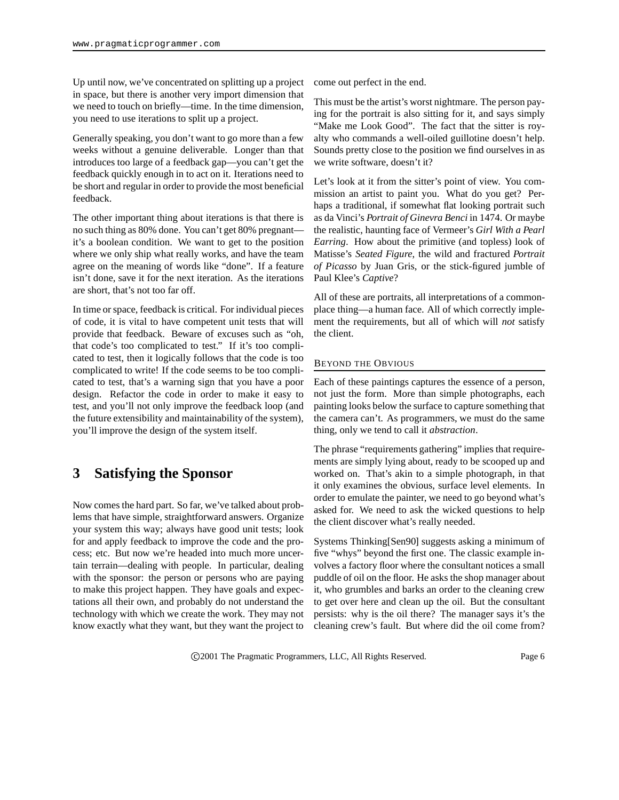Up until now, we've concentrated on splitting up a project in space, but there is another very import dimension that we need to touch on briefly—time. In the time dimension, you need to use iterations to split up a project.

Generally speaking, you don't want to go more than a few weeks without a genuine deliverable. Longer than that introduces too large of a feedback gap—you can't get the feedback quickly enough in to act on it. Iterations need to be short and regular in order to provide the most beneficial feedback.

The other important thing about iterations is that there is no such thing as 80% done. You can't get 80% pregnant it's a boolean condition. We want to get to the position where we only ship what really works, and have the team agree on the meaning of words like "done". If a feature isn't done, save it for the next iteration. As the iterations are short, that's not too far off.

In time orspace, feedback is critical. For individual pieces of code, it is vital to have competent unit tests that will provide that feedback. Beware of excuses such as "oh, that code's too complicated to test." If it's too complicated to test, then it logically follows that the code is too complicated to write! If the code seems to be too complicated to test, that's a warning sign that you have a poor design. Refactor the code in order to make it easy to test, and you'll not only improve the feedback loop (and the future extensibility and maintainability of the system), you'll improve the design of the system itself.

# **3 Satisfying the Sponsor**

Now comes the hard part. So far, we've talked about problems that have simple, straightforward answers. Organize your system this way; always have good unit tests; look for and apply feedback to improve the code and the process; etc. But now we're headed into much more uncertain terrain—dealing with people. In particular, dealing with the sponsor: the person or persons who are paying to make this project happen. They have goals and expectations all their own, and probably do not understand the technology with which we create the work. They may not know exactly what they want, but they want the project to

come out perfect in the end.

This must be the artist's worst nightmare. The person paying for the portrait is also sitting for it, and says simply "Make me Look Good". The fact that the sitter is royalty who commands a well-oiled guillotine doesn't help. Sounds pretty close to the position we find ourselves in as we write software, doesn't it?

Let's look at it from the sitter's point of view. You commission an artist to paint you. What do you get? Perhaps a traditional, if somewhat flat looking portrait such as da Vinci's *Portrait of Ginevra Benci* in 1474. Or maybe the realistic, haunting face of Vermeer's *Girl With a Pearl Earring*. How about the primitive (and topless) look of Matisse's *Seated Figure*, the wild and fractured *Portrait of Picasso* by Juan Gris, or the stick-figured jumble of Paul Klee's *Captive*?

All of these are portraits, all interpretations of a commonplace thing—a human face. All of which correctly implement the requirements, but all of which will *not* satisfy the client.

# BEYOND THE OBVIOUS

Each of these paintings captures the essence of a person, not just the form. More than simple photographs, each painting looks below the surface to capture something that the camera can't. As programmers, we must do the same thing, only we tend to call it *abstraction*.

The phrase "requirements gathering" implies that requirements are simply lying about, ready to be scooped up and worked on. That's akin to a simple photograph, in that it only examines the obvious, surface level elements. In order to emulate the painter, we need to go beyond what's asked for. We need to ask the wicked questions to help the client discover what's really needed.

Systems Thinking[Sen90] suggests asking a minimum of five "whys" beyond the first one. The classic example involves a factory floor where the consultant notices a small puddle of oil on the floor. He asks the shop manager about it, who grumbles and barks an order to the cleaning crew to get over here and clean up the oil. But the consultant persists: why is the oil there? The manager says it's the cleaning crew's fault. But where did the oil come from?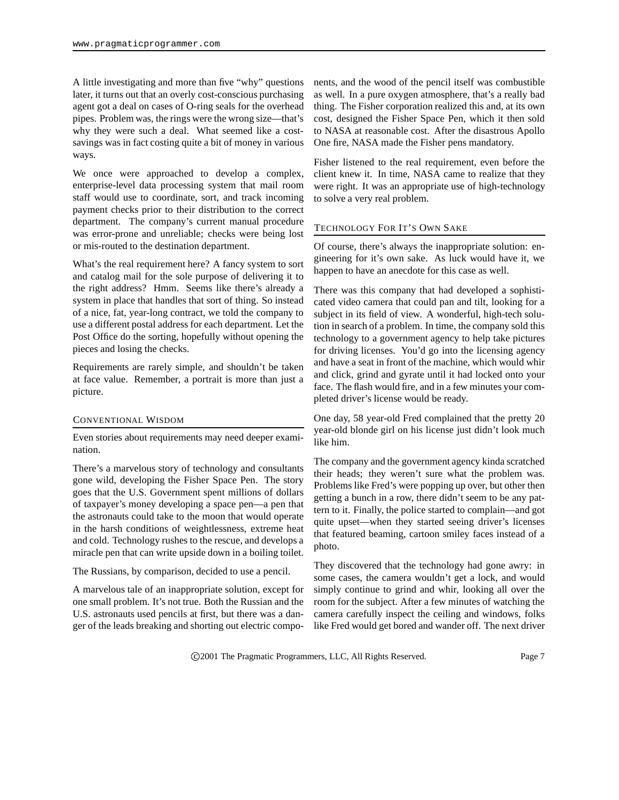A little investigating and more than five "why" questions later, it turns out that an overly cost-conscious purchasing agent got a deal on cases of O-ring seals for the overhead pipes. Problem was, the rings were the wrong size—that's why they were such a deal. What seemed like a costsavings was in fact costing quite a bit of money in various ways.

We once were approached to develop a complex, enterprise-level data processing system that mail room staff would use to coordinate, sort, and track incoming payment checks prior to their distribution to the correct department. The company's current manual procedure was error-prone and unreliable; checks were being lost or mis-routed to the destination department.

What's the real requirement here? A fancy system to sort and catalog mail for the sole purpose of delivering it to the right address? Hmm. Seems like there's already a system in place that handles that sort of thing. So instead of a nice, fat, year-long contract, we told the company to use a different postal address for each department. Let the Post Office do the sorting, hopefully without opening the pieces and losing the checks.

Requirements are rarely simple, and shouldn't be taken at face value. Remember, a portrait is more than just a picture.

#### CONVENTIONAL WISDOM

Even stories about requirements may need deeper examination.

There's a marvelous story of technology and consultants gone wild, developing the Fisher Space Pen. The story goes that the U.S. Government spent millions of dollars of taxpayer's money developing a space pen—a pen that the astronauts could take to the moon that would operate in the harsh conditions of weightlessness, extreme heat and cold. Technology rushes to the rescue, and develops a miracle pen that can write upside down in a boiling toilet.

The Russians, by comparison, decided to use a pencil.

A marvelous tale of an inappropriate solution, except for one small problem. It's not true. Both the Russian and the U.S. astronauts used pencils at first, but there was a danger of the leads breaking and shorting out electric components, and the wood of the pencil itself was combustible as well. In a pure oxygen atmosphere, that's a really bad thing. The Fisher corporation realized this and, at its own cost, designed the Fisher Space Pen, which it then sold to NASA at reasonable cost. After the disastrous Apollo One fire, NASA made the Fisher pens mandatory.

Fisher listened to the real requirement, even before the client knew it. In time, NASA came to realize that they were right. It was an appropriate use of high-technology to solve a very real problem.

# TECHNOLOGY FOR IT'S OWN SAKE

Of course, there's always the inappropriate solution: engineering for it's own sake. As luck would have it, we happen to have an anecdote for this case as well.

There was this company that had developed a sophisticated video camera that could pan and tilt, looking for a subject in its field of view. A wonderful, high-tech solution in search of a problem. In time, the company sold this technology to a government agency to help take pictures for driving licenses. You'd go into the licensing agency and have a seat in front of the machine, which would whir and click, grind and gyrate until it had locked onto your face. The flash would fire, and in a few minutes your completed driver's license would be ready.

One day, 58 year-old Fred complained that the pretty 20 year-old blonde girl on his license just didn't look much like him.

The company and the government agency kinda scratched their heads; they weren't sure what the problem was. Problems like Fred's were popping up over, but other then getting a bunch in a row, there didn't seem to be any pattern to it. Finally, the police started to complain—and got quite upset—when they started seeing driver's licenses that featured beaming, cartoon smiley faces instead of a photo.

They discovered that the technology had gone awry: in some cases, the camera wouldn't get a lock, and would simply continue to grind and whir, looking all over the room for the subject. After a few minutes of watching the camera carefully inspect the ceiling and windows, folks like Fred would get bored and wander off. The next driver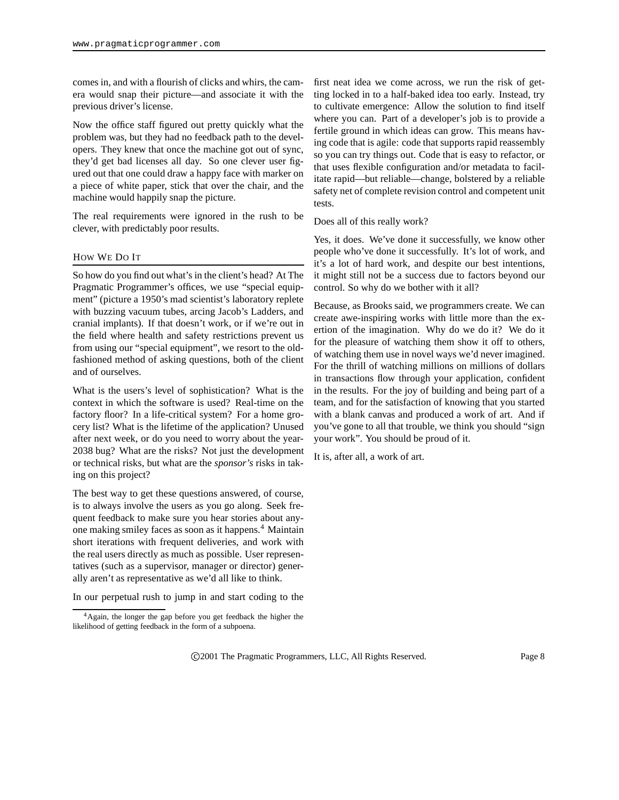comes in, and with a flourish of clicks and whirs, the camera would snap their picture—and associate it with the previous driver's license.

Now the office staff figured out pretty quickly what the problem was, but they had no feedback path to the developers. They knew that once the machine got out of sync, they'd get bad licenses all day. So one clever user figured out that one could draw a happy face with marker on a piece of white paper, stick that over the chair, and the machine would happily snap the picture.

The real requirements were ignored in the rush to be clever, with predictably poor results.

# HOW WE DO IT

So how do you find out what's in the client's head? At The Pragmatic Programmer's offices, we use "special equipment" (picture a 1950's mad scientist's laboratory replete with buzzing vacuum tubes, arcing Jacob's Ladders, and cranial implants). If that doesn't work, or if we're out in the field where health and safety restrictions prevent us from using our "special equipment", we resort to the oldfashioned method of asking questions, both of the client and of ourselves.

What is the users's level of sophistication? What is the context in which the software is used? Real-time on the factory floor? In a life-critical system? For a home grocery list? What is the lifetime of the application? Unused after next week, or do you need to worry about the year-2038 bug? What are the risks? Not just the development or technical risks, but what are the *sponsor's* risks in taking on this project?

The best way to get these questions answered, of course, is to always involve the users as you go along. Seek frequent feedback to make sure you hear stories about anyone making smiley faces as soon as it happens.<sup>4</sup> Maintain short iterations with frequent deliveries, and work with the real users directly as much as possible. User representatives (such as a supervisor, manager or director) generally aren't as representative as we'd all like to think.

In our perpetual rush to jump in and start coding to the

first neat idea we come across, we run the risk of getting locked in to a half-baked idea too early. Instead, try to cultivate emergence: Allow the solution to find itself where you can. Part of a developer's job is to provide a fertile ground in which ideas can grow. This means having code that is agile: code that supports rapid reassembly so you can try things out. Code that is easy to refactor, or that uses flexible configuration and/or metadata to facilitate rapid—but reliable—change, bolstered by a reliable safety net of complete revision control and competent unit tests.

Does all of this really work?

Yes, it does. We've done it successfully, we know other people who've done it successfully. It's lot of work, and it's a lot of hard work, and despite our best intentions, it might still not be a success due to factors beyond our control. So why do we bother with it all?

Because, as Brooks said, we programmers create. We can create awe-inspiring works with little more than the exertion of the imagination. Why do we do it? We do it for the pleasure of watching them show it off to others, of watching them use in novel ways we'd never imagined. For the thrill of watching millions on millions of dollars in transactions flow through your application, confident in the results. For the joy of building and being part of a team, and for the satisfaction of knowing that you started with a blank canvas and produced a work of art. And if you've gone to all that trouble, we think you should "sign your work". You should be proud of it.

It is, after all, a work of art.

<sup>&</sup>lt;sup>4</sup>Again, the longer the gap before you get feedback the higher the likelihood of getting feedback in the form of a subpoena.